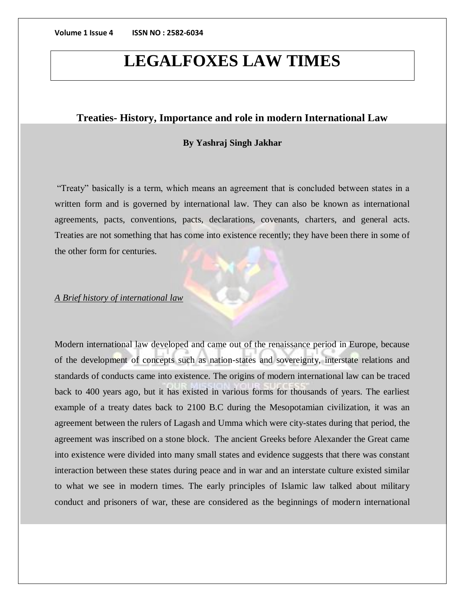## **LEGALFOXES LAW TIMES**

## **Treaties- History, Importance and role in modern International Law**

### **By Yashraj Singh Jakhar**

"Treaty" basically is a term, which means an agreement that is concluded between states in a written form and is governed by international law. They can also be known as international agreements, pacts, conventions, pacts, declarations, covenants, charters, and general acts. Treaties are not something that has come into existence recently; they have been there in some of the other form for centuries.

## *A Brief history of international law*

Modern international law developed and came out of the renaissance period in Europe, because of the development of concepts such as nation-states and sovereignty, interstate relations and standards of conducts came into existence. The origins of modern international law can be traced back to 400 years ago, but it has existed in various forms for thousands of years. The earliest example of a treaty dates back to 2100 B.C during the Mesopotamian civilization, it was an agreement between the rulers of Lagash and Umma which were city-states during that period, the agreement was inscribed on a stone block. The ancient Greeks before Alexander the Great came into existence were divided into many small states and evidence suggests that there was constant interaction between these states during peace and in war and an interstate culture existed similar to what we see in modern times. The early principles of Islamic law talked about military conduct and prisoners of war, these are considered as the beginnings of modern international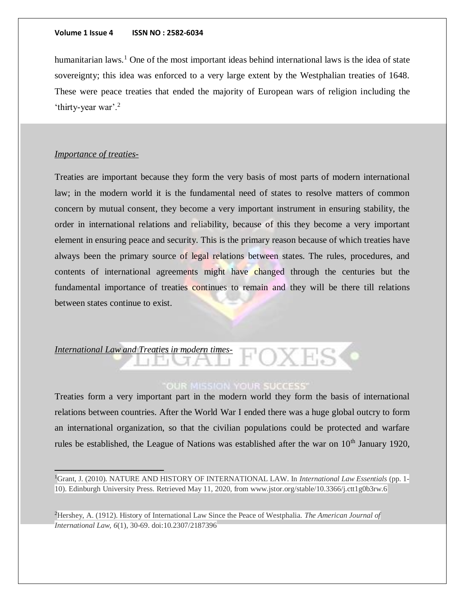humanitarian laws.<sup>1</sup> One of the most important ideas behind international laws is the idea of state sovereignty; this idea was enforced to a very large extent by the Westphalian treaties of 1648. These were peace treaties that ended the majority of European wars of religion including the 'thirty-year war'.<sup>2</sup>

### *Importance of treaties-*

Treaties are important because they form the very basis of most parts of modern international law; in the modern world it is the fundamental need of states to resolve matters of common concern by mutual consent, they become a very important instrument in ensuring stability, the order in international relations and reliability, because of this they become a very important element in ensuring peace and security. This is the primary reason because of which treaties have always been the primary source of legal relations between states. The rules, procedures, and contents of international agreements might have changed through the centuries but the fundamental importance of treaties continues to remain and they will be there till relations between states continue to exist.

## *International Law and Treaties in modern times-*

## **OUR MISSION YOUR SUCCESS'**

Treaties form a very important part in the modern world they form the basis of international relations between countries. After the World War I ended there was a huge global outcry to form an international organization, so that the civilian populations could be protected and warfare rules be established, the League of Nations was established after the war on  $10<sup>th</sup>$  January 1920,

<sup>1</sup>Grant, J. (2010). NATURE AND HISTORY OF INTERNATIONAL LAW. In *International Law Essentials* (pp. 1- 10). Edinburgh University Press. Retrieved May 11, 2020, from www.jstor.org/stable/10.3366/j.ctt1g0b3rw.6

<sup>2</sup>Hershey, A. (1912). History of International Law Since the Peace of Westphalia. *The American Journal of International Law, 6*(1), 30-69. doi:10.2307/2187396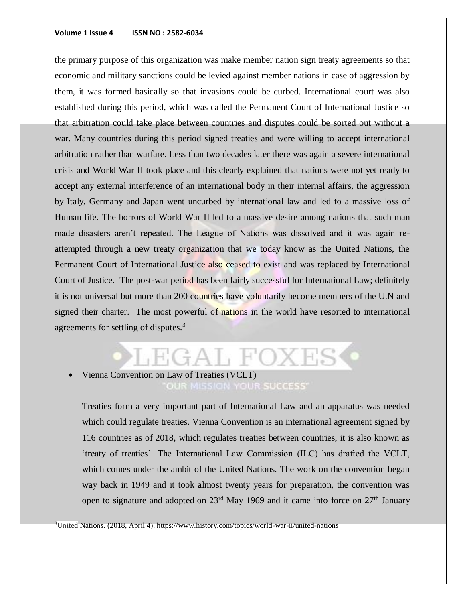the primary purpose of this organization was make member nation sign treaty agreements so that economic and military sanctions could be levied against member nations in case of aggression by them, it was formed basically so that invasions could be curbed. International court was also established during this period, which was called the Permanent Court of International Justice so that arbitration could take place between countries and disputes could be sorted out without a war. Many countries during this period signed treaties and were willing to accept international arbitration rather than warfare. Less than two decades later there was again a severe international crisis and World War II took place and this clearly explained that nations were not yet ready to accept any external interference of an international body in their internal affairs, the aggression by Italy, Germany and Japan went uncurbed by international law and led to a massive loss of Human life. The horrors of World War II led to a massive desire among nations that such man made disasters aren't repeated. The League of Nations was dissolved and it was again reattempted through a new treaty organization that we today know as the United Nations, the Permanent Court of International Justice also ceased to exist and was replaced by International Court of Justice. The post-war period has been fairly successful for International Law; definitely it is not universal but more than 200 countries have voluntarily become members of the U.N and signed their charter. The most powerful of nations in the world have resorted to international agreements for settling of disputes.<sup>3</sup>

## GAL FOXE

## Vienna Convention on Law of Treaties (VCLT) OUR MISSION YOUR SUCCESS'

Treaties form a very important part of International Law and an apparatus was needed which could regulate treaties. Vienna Convention is an international agreement signed by 116 countries as of 2018, which regulates treaties between countries, it is also known as 'treaty of treaties'. The International Law Commission (ILC) has drafted the VCLT, which comes under the ambit of the United Nations. The work on the convention began way back in 1949 and it took almost twenty years for preparation, the convention was open to signature and adopted on  $23<sup>rd</sup>$  May 1969 and it came into force on  $27<sup>th</sup>$  January

 $3$ United Nations. (2018, April 4). https://www.history.com/topics/world-war-ii/united-nations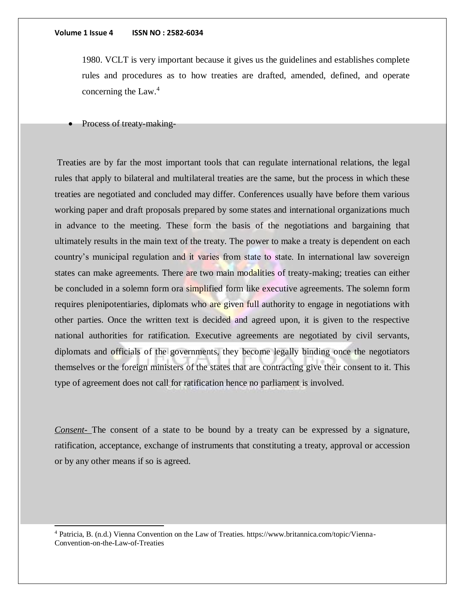1980. VCLT is very important because it gives us the guidelines and establishes complete rules and procedures as to how treaties are drafted, amended, defined, and operate concerning the Law.<sup>4</sup>

Process of treaty-making-

l

Treaties are by far the most important tools that can regulate international relations, the legal rules that apply to bilateral and multilateral treaties are the same, but the process in which these treaties are negotiated and concluded may differ. Conferences usually have before them various working paper and draft proposals prepared by some states and international organizations much in advance to the meeting. These form the basis of the negotiations and bargaining that ultimately results in the main text of the treaty. The power to make a treaty is dependent on each country's municipal regulation and it varies from state to state. In international law sovereign states can make agreements. There are two main modalities of treaty-making; treaties can either be concluded in a solemn form ora simplified form like executive agreements. The solemn form requires plenipotentiaries, diplomats who are given full authority to engage in negotiations with other parties. Once the written text is decided and agreed upon, it is given to the respective national authorities for ratification. Executive agreements are negotiated by civil servants, diplomats and officials of the governments, they become legally binding once the negotiators themselves or the foreign ministers of the states that are contracting give their consent to it. This type of agreement does not call for ratification hence no parliament is involved.

*Consent-* The consent of a state to be bound by a treaty can be expressed by a signature, ratification, acceptance, exchange of instruments that constituting a treaty, approval or accession or by any other means if so is agreed.

<sup>4</sup> Patricia, B. (n.d.) Vienna Convention on the Law of Treaties. https://www.britannica.com/topic/Vienna-Convention-on-the-Law-of-Treaties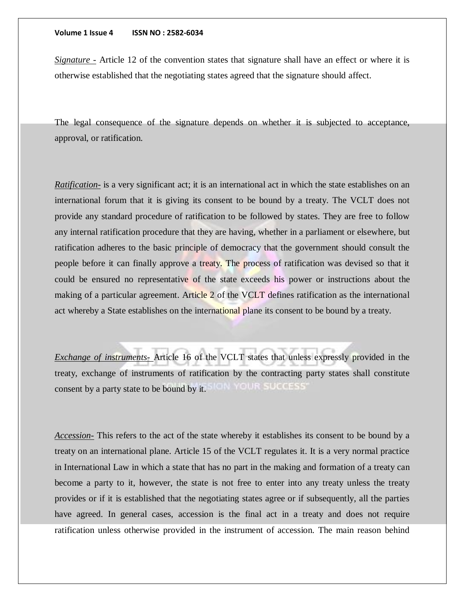*Signature -* Article 12 of the convention states that signature shall have an effect or where it is otherwise established that the negotiating states agreed that the signature should affect.

The legal consequence of the signature depends on whether it is subjected to acceptance, approval, or ratification.

*Ratification-* is a very significant act; it is an international act in which the state establishes on an international forum that it is giving its consent to be bound by a treaty. The VCLT does not provide any standard procedure of ratification to be followed by states. They are free to follow any internal ratification procedure that they are having, whether in a parliament or elsewhere, but ratification adheres to the basic principle of democracy that the government should consult the people before it can finally approve a treaty. The process of ratification was devised so that it could be ensured no representative of the state exceeds his power or instructions about the making of a particular agreement. Article 2 of the VCLT defines ratification as the international act whereby a State establishes on the international plane its consent to be bound by a treaty.

*Exchange of instruments-* Article 16 of the VCLT states that unless expressly provided in the treaty, exchange of instruments of ratification by the contracting party states shall constitute **CIN YOUR SUCCESS** consent by a party state to be bound by it.

*Accession-* This refers to the act of the state whereby it establishes its consent to be bound by a treaty on an international plane. Article 15 of the VCLT regulates it. It is a very normal practice in International Law in which a state that has no part in the making and formation of a treaty can become a party to it, however, the state is not free to enter into any treaty unless the treaty provides or if it is established that the negotiating states agree or if subsequently, all the parties have agreed. In general cases, accession is the final act in a treaty and does not require ratification unless otherwise provided in the instrument of accession. The main reason behind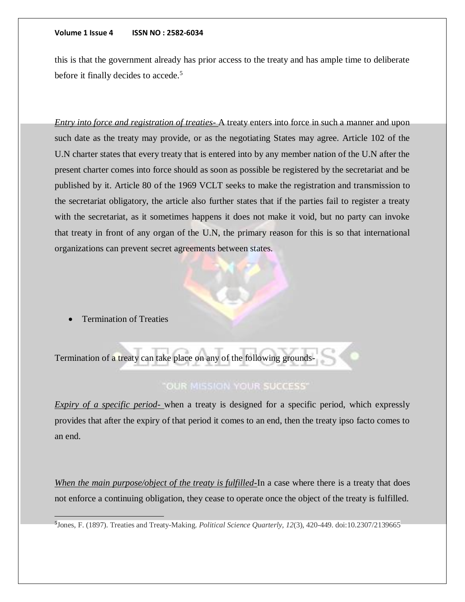this is that the government already has prior access to the treaty and has ample time to deliberate before it finally decides to accede.<sup>5</sup>

*Entry into force and registration of treaties-* A treaty enters into force in such a manner and upon such date as the treaty may provide, or as the negotiating States may agree. Article 102 of the U.N charter states that every treaty that is entered into by any member nation of the U.N after the present charter comes into force should as soon as possible be registered by the secretariat and be published by it. Article 80 of the 1969 VCLT seeks to make the registration and transmission to the secretariat obligatory, the article also further states that if the parties fail to register a treaty with the secretariat, as it sometimes happens it does not make it void, but no party can invoke that treaty in front of any organ of the U.N, the primary reason for this is so that international organizations can prevent secret agreements between states.

Termination of Treaties

 $\overline{a}$ 

Termination of a treaty can take place on any of the following grounds-

## "OUR MISSION YOUR SUCCESS"

*Expiry of a specific period-* when a treaty is designed for a specific period, which expressly provides that after the expiry of that period it comes to an end, then the treaty ipso facto comes to an end.

*When the main purpose/object of the treaty is fulfilled-*In a case where there is a treaty that does not enforce a continuing obligation, they cease to operate once the object of the treaty is fulfilled.

<sup>5</sup> Jones, F. (1897). Treaties and Treaty-Making. *Political Science Quarterly, 12*(3), 420-449. doi:10.2307/2139665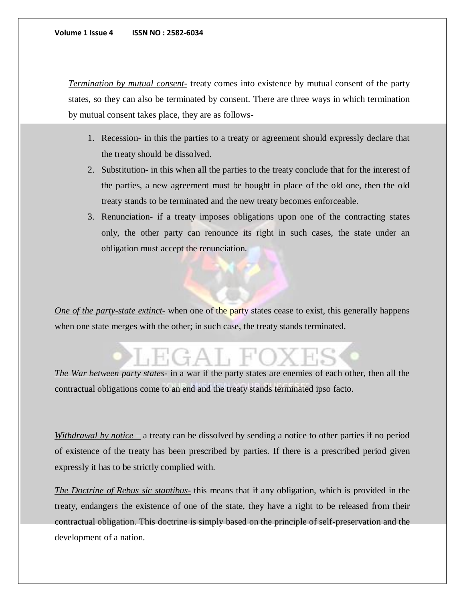*Termination by mutual consent-* treaty comes into existence by mutual consent of the party states, so they can also be terminated by consent. There are three ways in which termination by mutual consent takes place, they are as follows-

- 1. Recession- in this the parties to a treaty or agreement should expressly declare that the treaty should be dissolved.
- 2. Substitution- in this when all the parties to the treaty conclude that for the interest of the parties, a new agreement must be bought in place of the old one, then the old treaty stands to be terminated and the new treaty becomes enforceable.
- 3. Renunciation- if a treaty imposes obligations upon one of the contracting states only, the other party can renounce its right in such cases, the state under an obligation must accept the renunciation.

*One of the party-state extinct-* when one of the party states cease to exist, this generally happens when one state merges with the other; in such case, the treaty stands terminated.

*The War between party states-* in a war if the party states are enemies of each other, then all the contractual obligations come to an end and the treaty stands terminated ipso facto.

*Withdrawal by notice –* a treaty can be dissolved by sending a notice to other parties if no period of existence of the treaty has been prescribed by parties. If there is a prescribed period given expressly it has to be strictly complied with.

*The Doctrine of Rebus sic stantibus-* this means that if any obligation, which is provided in the treaty, endangers the existence of one of the state, they have a right to be released from their contractual obligation. This doctrine is simply based on the principle of self-preservation and the development of a nation.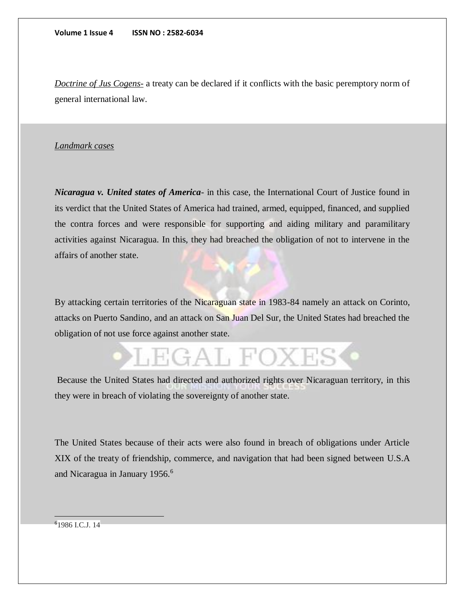*Doctrine of Jus Cogens-* a treaty can be declared if it conflicts with the basic peremptory norm of general international law.

## *Landmark cases*

*Nicaragua v. United states of America-* in this case, the International Court of Justice found in its verdict that the United States of America had trained, armed, equipped, financed, and supplied the contra forces and were responsible for supporting and aiding military and paramilitary activities against Nicaragua. In this, they had breached the obligation of not to intervene in the affairs of another state.

By attacking certain territories of the Nicaraguan state in 1983-84 namely an attack on Corinto, attacks on Puerto Sandino, and an attack on San Juan Del Sur, the United States had breached the obligation of not use force against another state.

# LEGAL FOXES

Because the United States had directed and authorized rights over Nicaraguan territory, in this they were in breach of violating the sovereignty of another state.

The United States because of their acts were also found in breach of obligations under Article XIX of the treaty of friendship, commerce, and navigation that had been signed between U.S.A and Nicaragua in January 1956.<sup>6</sup>

 $\overline{a}$